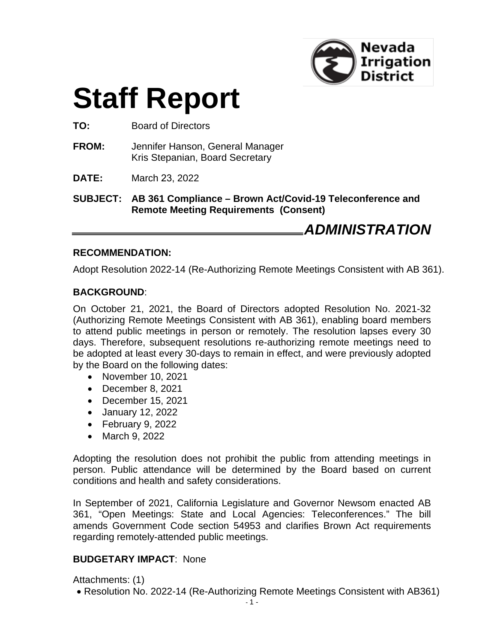

# **Staff Report**

**TO:** Board of Directors

- **FROM:** Jennifer Hanson, General Manager Kris Stepanian, Board Secretary
- **DATE:** March 23, 2022

**SUBJECT: AB 361 Compliance – Brown Act/Covid-19 Teleconference and Remote Meeting Requirements (Consent)**

*ADMINISTRATION*

#### **RECOMMENDATION:**

Adopt Resolution 2022-14 (Re-Authorizing Remote Meetings Consistent with AB 361).

#### **BACKGROUND**:

On October 21, 2021, the Board of Directors adopted Resolution No. 2021-32 (Authorizing Remote Meetings Consistent with AB 361), enabling board members to attend public meetings in person or remotely. The resolution lapses every 30 days. Therefore, subsequent resolutions re-authorizing remote meetings need to be adopted at least every 30-days to remain in effect, and were previously adopted by the Board on the following dates:

- November 10, 2021
- December 8, 2021
- December 15, 2021
- January 12, 2022
- February 9, 2022
- March 9, 2022

Adopting the resolution does not prohibit the public from attending meetings in person. Public attendance will be determined by the Board based on current conditions and health and safety considerations.

In September of 2021, California Legislature and Governor Newsom enacted AB 361, "Open Meetings: State and Local Agencies: Teleconferences." The bill amends Government Code section 54953 and clarifies Brown Act requirements regarding remotely-attended public meetings.

#### **BUDGETARY IMPACT**: None

Attachments: (1)

• Resolution No. 2022-14 (Re-Authorizing Remote Meetings Consistent with AB361)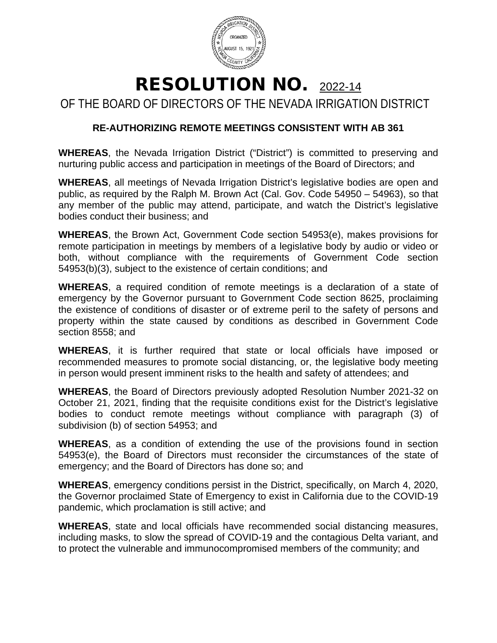

## RESOLUTION NO. 2022-14

OF THE BOARD OF DIRECTORS OF THE NEVADA IRRIGATION DISTRICT

### **RE-AUTHORIZING REMOTE MEETINGS CONSISTENT WITH AB 361**

**WHEREAS**, the Nevada Irrigation District ("District") is committed to preserving and nurturing public access and participation in meetings of the Board of Directors; and

**WHEREAS**, all meetings of Nevada Irrigation District's legislative bodies are open and public, as required by the Ralph M. Brown Act (Cal. Gov. Code 54950 – 54963), so that any member of the public may attend, participate, and watch the District's legislative bodies conduct their business; and

**WHEREAS**, the Brown Act, Government Code section 54953(e), makes provisions for remote participation in meetings by members of a legislative body by audio or video or both, without compliance with the requirements of Government Code section 54953(b)(3), subject to the existence of certain conditions; and

**WHEREAS**, a required condition of remote meetings is a declaration of a state of emergency by the Governor pursuant to Government Code section 8625, proclaiming the existence of conditions of disaster or of extreme peril to the safety of persons and property within the state caused by conditions as described in Government Code section 8558; and

**WHEREAS**, it is further required that state or local officials have imposed or recommended measures to promote social distancing, or, the legislative body meeting in person would present imminent risks to the health and safety of attendees; and

**WHEREAS**, the Board of Directors previously adopted Resolution Number 2021-32 on October 21, 2021, finding that the requisite conditions exist for the District's legislative bodies to conduct remote meetings without compliance with paragraph (3) of subdivision (b) of section 54953; and

**WHEREAS**, as a condition of extending the use of the provisions found in section 54953(e), the Board of Directors must reconsider the circumstances of the state of emergency; and the Board of Directors has done so; and

**WHEREAS**, emergency conditions persist in the District, specifically, on March 4, 2020, the Governor proclaimed State of Emergency to exist in California due to the COVID-19 pandemic, which proclamation is still active; and

**WHEREAS**, state and local officials have recommended social distancing measures, including masks, to slow the spread of COVID-19 and the contagious Delta variant, and to protect the vulnerable and immunocompromised members of the community; and